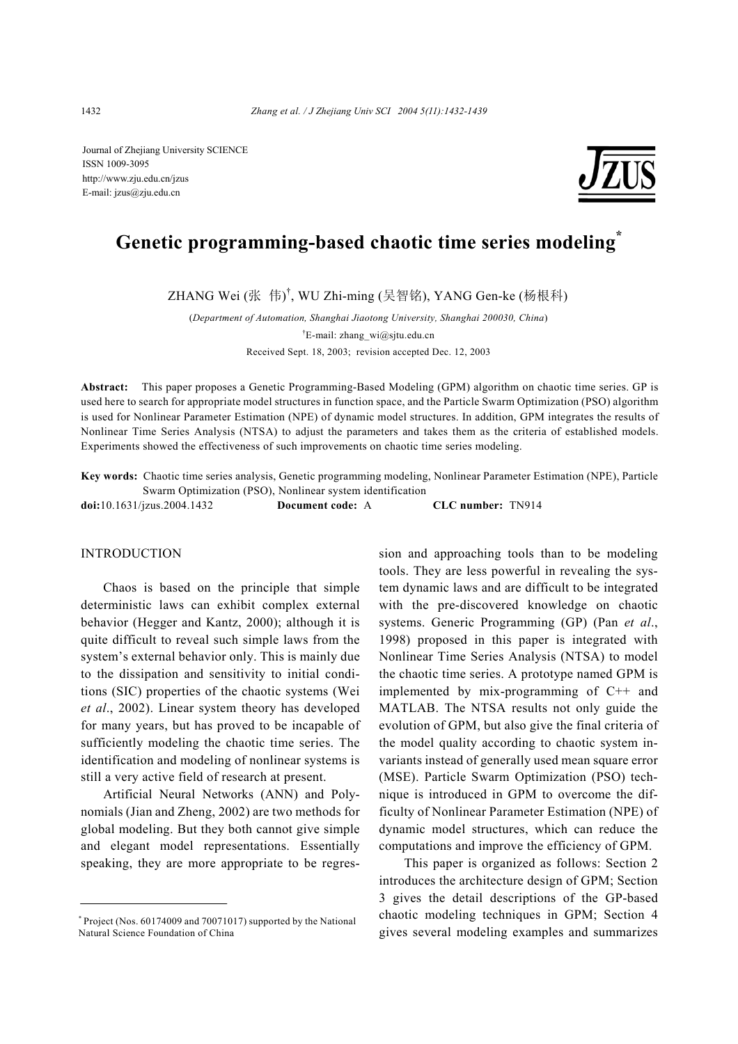Journal of Zhejiang University SCIENCE ISSN 1009-3095 http://www.zju.edu.cn/jzus E-mail: jzus@zju.edu.cn



# **Genetic programming-based chaotic time series modeling\***

ZHANG Wei (张 伟)<sup>†</sup>, WU Zhi-ming (吴智铭), YANG Gen-ke (杨根科)

(*Department of Automation, Shanghai Jiaotong University, Shanghai 200030, China*) † E-mail: zhang\_wi@sjtu.edu.cn Received Sept. 18, 2003; revision accepted Dec. 12, 2003

**Abstract:** This paper proposes a Genetic Programming-Based Modeling (GPM) algorithm on chaotic time series. GP is used here to search for appropriate model structures in function space, and the Particle Swarm Optimization (PSO) algorithm is used for Nonlinear Parameter Estimation (NPE) of dynamic model structures. In addition, GPM integrates the results of Nonlinear Time Series Analysis (NTSA) to adjust the parameters and takes them as the criteria of established models. Experiments showed the effectiveness of such improvements on chaotic time series modeling.

**Key words:** Chaotic time series analysis, Genetic programming modeling, Nonlinear Parameter Estimation (NPE), Particle Swarm Optimization (PSO), Nonlinear system identification

| <b>doi:</b> 10.1631/jzus.2004.1432 | Document code: A | CLC number: TN914 |
|------------------------------------|------------------|-------------------|
|------------------------------------|------------------|-------------------|

# INTRODUCTION

Chaos is based on the principle that simple deterministic laws can exhibit complex external behavior (Hegger and Kantz, 2000); although it is quite difficult to reveal such simple laws from the system's external behavior only. This is mainly due to the dissipation and sensitivity to initial conditions (SIC) properties of the chaotic systems (Wei *et al*., 2002). Linear system theory has developed for many years, but has proved to be incapable of sufficiently modeling the chaotic time series. The identification and modeling of nonlinear systems is still a very active field of research at present.

Artificial Neural Networks (ANN) and Polynomials (Jian and Zheng, 2002) are two methods for global modeling. But they both cannot give simple and elegant model representations. Essentially speaking, they are more appropriate to be regression and approaching tools than to be modeling tools. They are less powerful in revealing the system dynamic laws and are difficult to be integrated with the pre-discovered knowledge on chaotic systems. Generic Programming (GP) (Pan *et al*., 1998) proposed in this paper is integrated with Nonlinear Time Series Analysis (NTSA) to model the chaotic time series. A prototype named GPM is implemented by mix-programming of C++ and MATLAB. The NTSA results not only guide the evolution of GPM, but also give the final criteria of the model quality according to chaotic system invariants instead of generally used mean square error (MSE). Particle Swarm Optimization (PSO) technique is introduced in GPM to overcome the difficulty of Nonlinear Parameter Estimation (NPE) of dynamic model structures, which can reduce the computations and improve the efficiency of GPM.

This paper is organized as follows: Section 2 introduces the architecture design of GPM; Section 3 gives the detail descriptions of the GP-based chaotic modeling techniques in GPM; Section 4 gives several modeling examples and summarizes

<sup>\*</sup> Project (Nos. 60174009 and 70071017) supported by the National Natural Science Foundation of China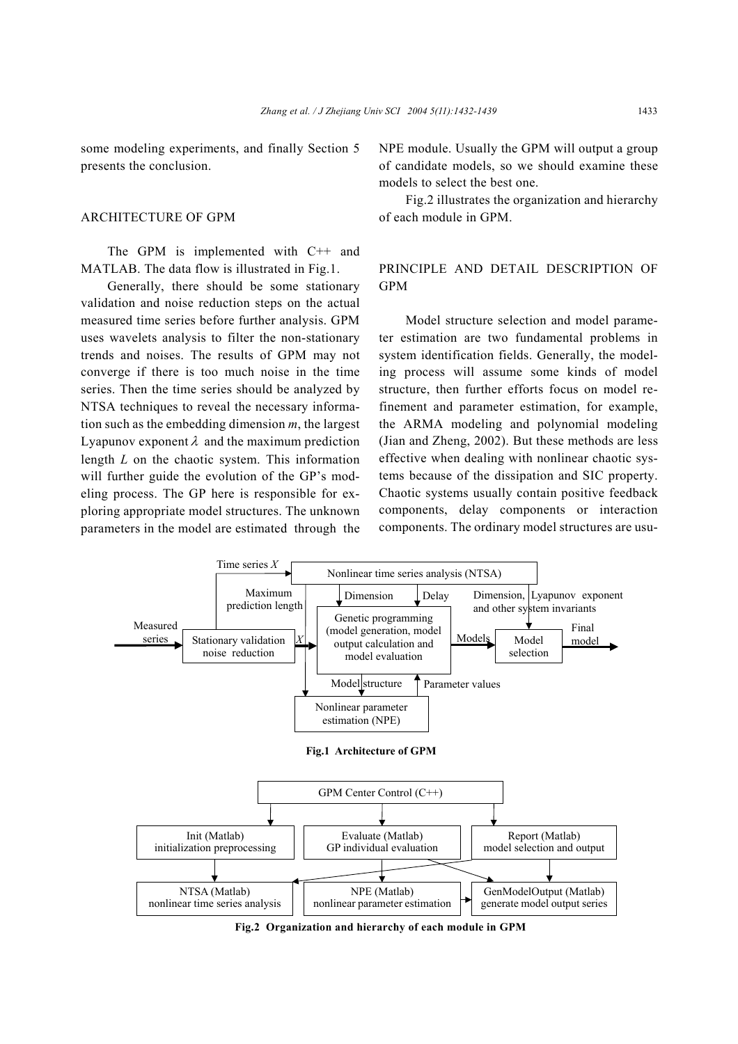some modeling experiments, and finally Section 5 presents the conclusion.

# ARCHITECTURE OF GPM

The GPM is implemented with C++ and MATLAB. The data flow is illustrated in Fig.1.

Generally, there should be some stationary validation and noise reduction steps on the actual measured time series before further analysis. GPM uses wavelets analysis to filter the non-stationary trends and noises. The results of GPM may not converge if there is too much noise in the time series. Then the time series should be analyzed by NTSA techniques to reveal the necessary information such as the embedding dimension *m*, the largest Lyapunov exponent  $\lambda$  and the maximum prediction length *L* on the chaotic system. This information will further guide the evolution of the GP's modeling process. The GP here is responsible for exploring appropriate model structures. The unknown parameters in the model are estimated through the NPE module. Usually the GPM will output a group of candidate models, so we should examine these models to select the best one.

Fig.2 illustrates the organization and hierarchy of each module in GPM.

# PRINCIPLE AND DETAIL DESCRIPTION OF **GPM**

Model structure selection and model parameter estimation are two fundamental problems in system identification fields. Generally, the modeling process will assume some kinds of model structure, then further efforts focus on model refinement and parameter estimation, for example, the ARMA modeling and polynomial modeling (Jian and Zheng, 2002). But these methods are less effective when dealing with nonlinear chaotic systems because of the dissipation and SIC property. Chaotic systems usually contain positive feedback components, delay components or interaction components. The ordinary model structures are usu-



**Fig.2 Organization and hierarchy of each module in GPM**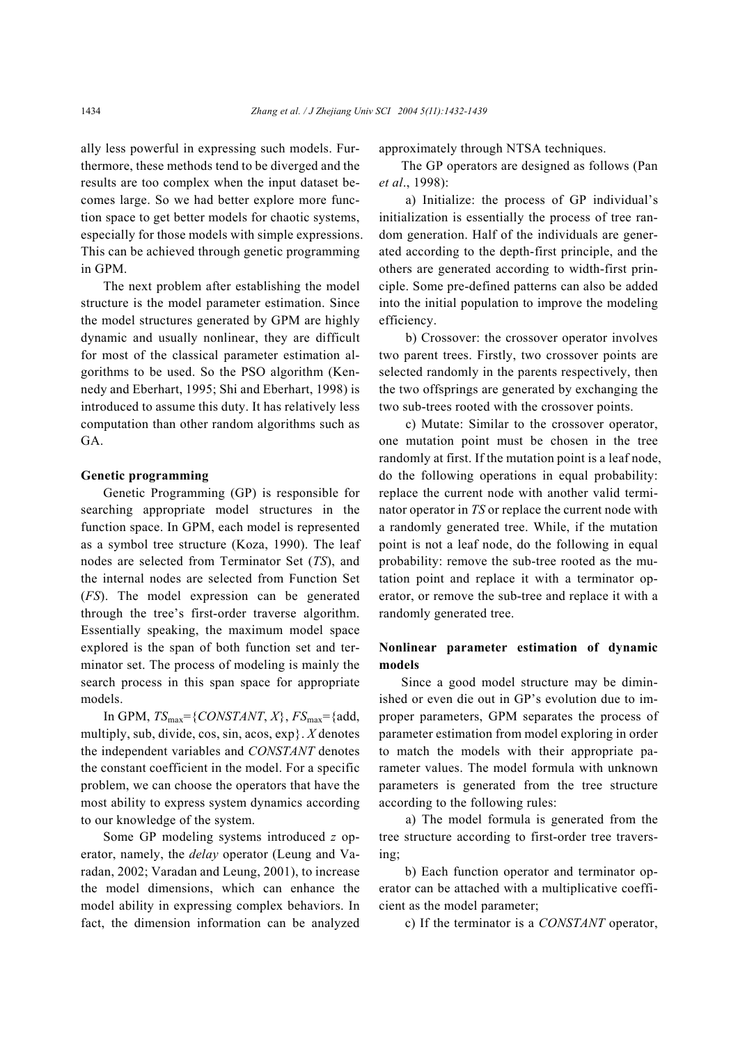ally less powerful in expressing such models. Furthermore, these methods tend to be diverged and the results are too complex when the input dataset becomes large. So we had better explore more function space to get better models for chaotic systems, especially for those models with simple expressions. This can be achieved through genetic programming in GPM.

The next problem after establishing the model structure is the model parameter estimation. Since the model structures generated by GPM are highly dynamic and usually nonlinear, they are difficult for most of the classical parameter estimation algorithms to be used. So the PSO algorithm (Kennedy and Eberhart, 1995; Shi and Eberhart, 1998) is introduced to assume this duty. It has relatively less computation than other random algorithms such as GA.

#### **Genetic programming**

Genetic Programming (GP) is responsible for searching appropriate model structures in the function space. In GPM, each model is represented as a symbol tree structure (Koza, 1990). The leaf nodes are selected from Terminator Set (*TS*), and the internal nodes are selected from Function Set (*FS*). The model expression can be generated through the tree's first-order traverse algorithm. Essentially speaking, the maximum model space explored is the span of both function set and terminator set. The process of modeling is mainly the search process in this span space for appropriate models.

In GPM,  $TS_{\text{max}} = \{CONSTANT, X\}$ ,  $FS_{\text{max}} = \{add,$ multiply, sub, divide, cos, sin, acos, exp}. *X* denotes the independent variables and *CONSTANT* denotes the constant coefficient in the model. For a specific problem, we can choose the operators that have the most ability to express system dynamics according to our knowledge of the system.

Some GP modeling systems introduced *z* operator, namely, the *delay* operator (Leung and Varadan, 2002; Varadan and Leung, 2001), to increase the model dimensions, which can enhance the model ability in expressing complex behaviors. In fact, the dimension information can be analyzed approximately through NTSA techniques.

The GP operators are designed as follows (Pan *et al*., 1998):

a) Initialize: the process of GP individual's initialization is essentially the process of tree random generation. Half of the individuals are generated according to the depth-first principle, and the others are generated according to width-first principle. Some pre-defined patterns can also be added into the initial population to improve the modeling efficiency.

b) Crossover: the crossover operator involves two parent trees. Firstly, two crossover points are selected randomly in the parents respectively, then the two offsprings are generated by exchanging the two sub-trees rooted with the crossover points.

c) Mutate: Similar to the crossover operator, one mutation point must be chosen in the tree randomly at first. If the mutation point is a leaf node, do the following operations in equal probability: replace the current node with another valid terminator operator in *TS* or replace the current node with a randomly generated tree. While, if the mutation point is not a leaf node, do the following in equal probability: remove the sub-tree rooted as the mutation point and replace it with a terminator operator, or remove the sub-tree and replace it with a randomly generated tree.

# **Nonlinear parameter estimation of dynamic models**

Since a good model structure may be diminished or even die out in GP's evolution due to improper parameters, GPM separates the process of parameter estimation from model exploring in order to match the models with their appropriate parameter values. The model formula with unknown parameters is generated from the tree structure according to the following rules:

a) The model formula is generated from the tree structure according to first-order tree traversing;

b) Each function operator and terminator operator can be attached with a multiplicative coefficient as the model parameter;

c) If the terminator is a *CONSTANT* operator,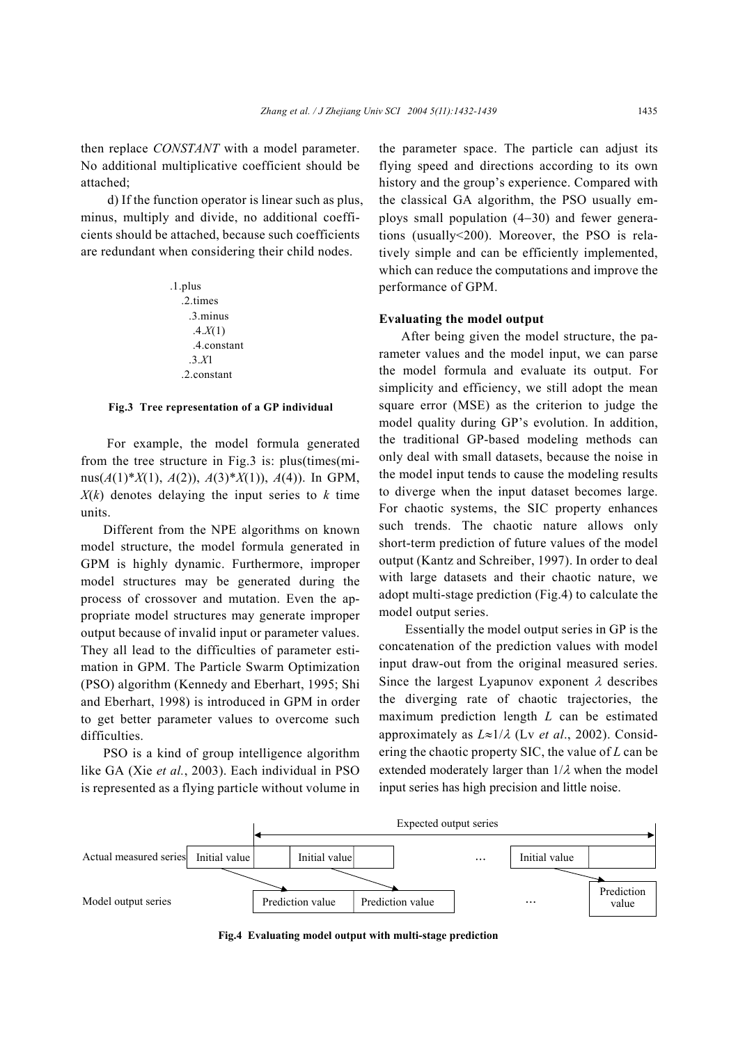then replace *CONSTANT* with a model parameter. No additional multiplicative coefficient should be attached;

d) If the function operator is linear such as plus, minus, multiply and divide, no additional coefficients should be attached, because such coefficients are redundant when considering their child nodes.

> .1.plus .2.times .3.minus .4.*X*(1) .4.constant .3.*X*1 .2.constant

#### **Fig.3 Tree representation of a GP individual**

For example, the model formula generated from the tree structure in Fig.3 is: plus(times(minus(*A*(1)\**X*(1), *A*(2)), *A*(3)\**X*(1)), *A*(4)). In GPM,  $X(k)$  denotes delaying the input series to  $k$  time units.

Different from the NPE algorithms on known model structure, the model formula generated in GPM is highly dynamic. Furthermore, improper model structures may be generated during the process of crossover and mutation. Even the appropriate model structures may generate improper output because of invalid input or parameter values. They all lead to the difficulties of parameter estimation in GPM. The Particle Swarm Optimization (PSO) algorithm (Kennedy and Eberhart, 1995; Shi and Eberhart, 1998) is introduced in GPM in order to get better parameter values to overcome such difficulties.

PSO is a kind of group intelligence algorithm like GA (Xie *et al.*, 2003). Each individual in PSO is represented as a flying particle without volume in the parameter space. The particle can adjust its flying speed and directions according to its own history and the group's experience. Compared with the classical GA algorithm, the PSO usually employs small population (4−30) and fewer generations (usually<200). Moreover, the PSO is relatively simple and can be efficiently implemented, which can reduce the computations and improve the performance of GPM.

#### **Evaluating the model output**

After being given the model structure, the parameter values and the model input, we can parse the model formula and evaluate its output. For simplicity and efficiency, we still adopt the mean square error (MSE) as the criterion to judge the model quality during GP's evolution. In addition, the traditional GP-based modeling methods can only deal with small datasets, because the noise in the model input tends to cause the modeling results to diverge when the input dataset becomes large. For chaotic systems, the SIC property enhances such trends. The chaotic nature allows only short-term prediction of future values of the model output (Kantz and Schreiber, 1997). In order to deal with large datasets and their chaotic nature, we adopt multi-stage prediction (Fig.4) to calculate the model output series.

Essentially the model output series in GP is the concatenation of the prediction values with model input draw-out from the original measured series. Since the largest Lyapunov exponent  $\lambda$  describes the diverging rate of chaotic trajectories, the maximum prediction length *L* can be estimated approximately as *L*≈1/λ (Lv *et al*., 2002). Considering the chaotic property SIC, the value of *L* can be extended moderately larger than  $1/\lambda$  when the model input series has high precision and little noise.



**Fig.4 Evaluating model output with multi-stage prediction**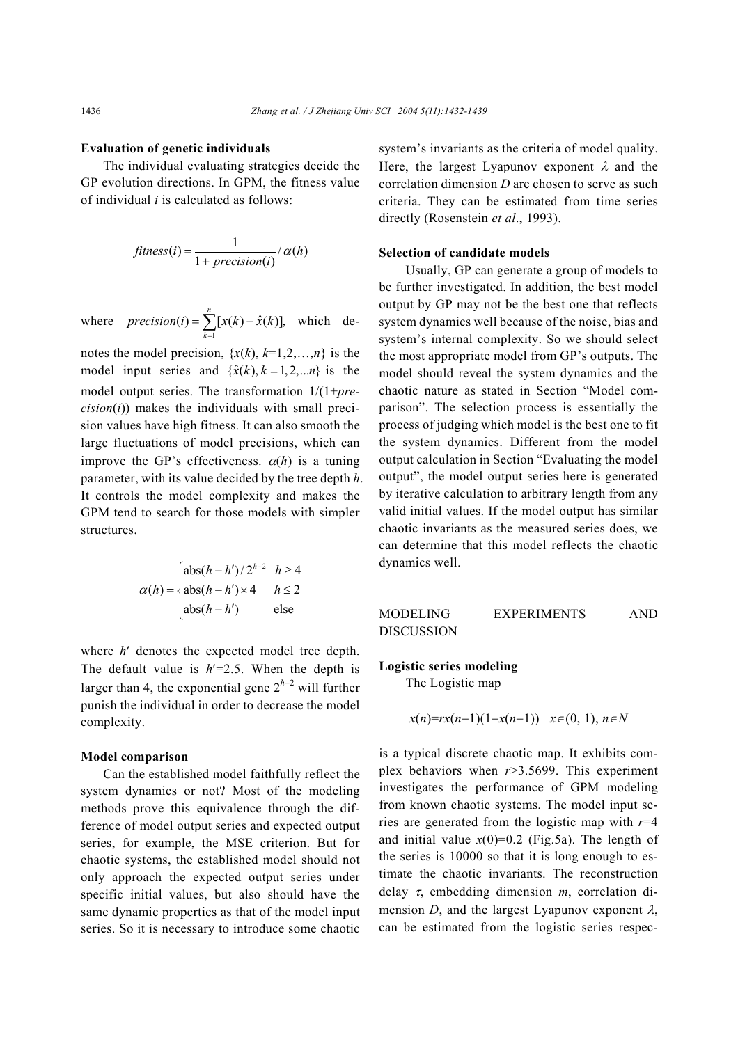#### **Evaluation of genetic individuals**

The individual evaluating strategies decide the GP evolution directions. In GPM, the fitness value of individual *i* is calculated as follows:

$$
fitness(i) = \frac{1}{1 + precision(i)} / \alpha(h)
$$

where  $precision(i) = \sum_{k=1}^{n} [x(k) - \hat{x}(k)],$ *k*  $precision(i) = \sum [x(k) - \hat{x}(k)]$  $=\sum_{k=1} [x(k) - \hat{x}(k)],$  which de-

notes the model precision,  $\{x(k), k=1,2,...,n\}$  is the model input series and  $\{\hat{x}(k), k = 1, 2, \dots n\}$  is the model output series. The transformation 1/(1+*pre* $cision(i)$ ) makes the individuals with small precision values have high fitness. It can also smooth the large fluctuations of model precisions, which can improve the GP's effectiveness.  $\alpha(h)$  is a tuning parameter, with its value decided by the tree depth *h*. It controls the model complexity and makes the GPM tend to search for those models with simpler structures.

$$
\alpha(h) = \begin{cases} \n\operatorname{abs}(h - h') / 2^{h - 2} & h \ge 4 \\ \n\operatorname{abs}(h - h') \times 4 & h \le 2 \\ \n\operatorname{abs}(h - h') & \text{else} \n\end{cases}
$$

where *h*′ denotes the expected model tree depth. The default value is  $h' = 2.5$ . When the depth is larger than 4, the exponential gene 2*<sup>h</sup>*−<sup>2</sup> will further punish the individual in order to decrease the model complexity.

#### **Model comparison**

Can the established model faithfully reflect the system dynamics or not? Most of the modeling methods prove this equivalence through the difference of model output series and expected output series, for example, the MSE criterion. But for chaotic systems, the established model should not only approach the expected output series under specific initial values, but also should have the same dynamic properties as that of the model input series. So it is necessary to introduce some chaotic system's invariants as the criteria of model quality. Here, the largest Lyapunov exponent  $\lambda$  and the correlation dimension *D* are chosen to serve as such criteria. They can be estimated from time series directly (Rosenstein *et al*., 1993).

## **Selection of candidate models**

Usually, GP can generate a group of models to be further investigated. In addition, the best model output by GP may not be the best one that reflects system dynamics well because of the noise, bias and system's internal complexity. So we should select the most appropriate model from GP's outputs. The model should reveal the system dynamics and the chaotic nature as stated in Section "Model comparison". The selection process is essentially the process of judging which model is the best one to fit the system dynamics. Different from the model output calculation in Section "Evaluating the model output", the model output series here is generated by iterative calculation to arbitrary length from any valid initial values. If the model output has similar chaotic invariants as the measured series does, we can determine that this model reflects the chaotic dynamics well.

| MODELING   | <b>EXPERIMENTS</b> | <b>AND</b> |
|------------|--------------------|------------|
| DISCUSSION |                    |            |

## **Logistic series modeling**

The Logistic map

$$
x(n)=rx(n-1)(1-x(n-1)) \quad x\in (0, 1), n\in N
$$

is a typical discrete chaotic map. It exhibits complex behaviors when *r*>3.5699. This experiment investigates the performance of GPM modeling from known chaotic systems. The model input series are generated from the logistic map with *r*=4 and initial value  $x(0)=0.2$  (Fig.5a). The length of the series is 10000 so that it is long enough to estimate the chaotic invariants. The reconstruction delay τ, embedding dimension *m*, correlation dimension *D*, and the largest Lyapunov exponent  $\lambda$ , can be estimated from the logistic series respec-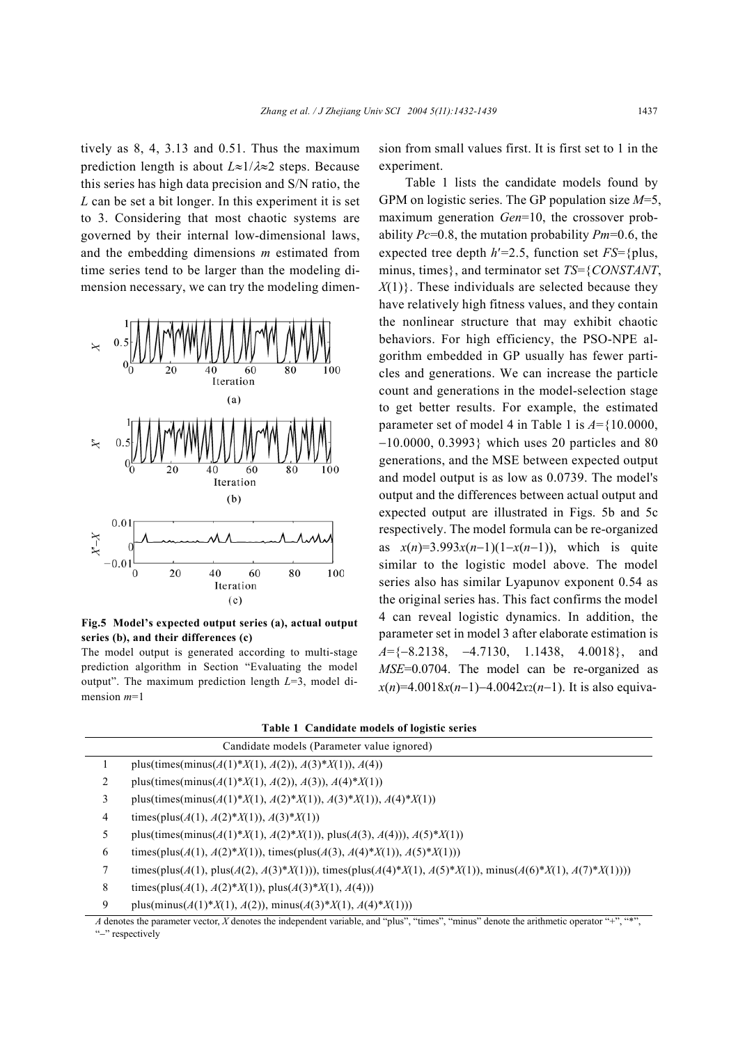tively as 8, 4, 3.13 and 0.51. Thus the maximum prediction length is about *L*≈1/λ≈2 steps. Because this series has high data precision and S/N ratio, the *L* can be set a bit longer. In this experiment it is set to 3. Considering that most chaotic systems are governed by their internal low-dimensional laws, and the embedding dimensions *m* estimated from time series tend to be larger than the modeling dimension necessary, we can try the modeling dimen-



**Fig.5 Model's expected output series (a), actual output series (b), and their differences (c)**

The model output is generated according to multi-stage prediction algorithm in Section "Evaluating the model output". The maximum prediction length *L*=3, model dimension *m*=1

sion from small values first. It is first set to 1 in the experiment.

Table 1 lists the candidate models found by GPM on logistic series. The GP population size *M*=5, maximum generation *Gen*=10, the crossover probability *Pc*=0.8, the mutation probability *Pm*=0.6, the expected tree depth *h*′=2.5, function set *FS*={plus, minus, times}, and terminator set *TS*={*CONSTANT*,  $X(1)$ . These individuals are selected because they have relatively high fitness values, and they contain the nonlinear structure that may exhibit chaotic behaviors. For high efficiency, the PSO-NPE algorithm embedded in GP usually has fewer particles and generations. We can increase the particle count and generations in the model-selection stage to get better results. For example, the estimated parameter set of model 4 in Table 1 is *A*={10.0000, −10.0000, 0.3993} which uses 20 particles and 80 generations, and the MSE between expected output and model output is as low as 0.0739. The model's output and the differences between actual output and expected output are illustrated in Figs. 5b and 5c respectively. The model formula can be re-organized as *x*(*n*)=3.993*x*(*n*−1)(1−*x*(*n*−1)), which is quite similar to the logistic model above. The model series also has similar Lyapunov exponent 0.54 as the original series has. This fact confirms the model 4 can reveal logistic dynamics. In addition, the parameter set in model 3 after elaborate estimation is *A*={−8.2138, −4.7130, 1.1438, 4.0018}, and *MSE*=0.0704. The model can be re-organized as *x*(*n*)=4.0018*x*(*n*−1)−4.0042*x*2(*n*−1). It is also equiva-

**Table 1 Candidate models of logistic series** 

|    | -                                                                                                        |
|----|----------------------------------------------------------------------------------------------------------|
|    | Candidate models (Parameter value ignored)                                                               |
|    | plus(times(minus( $A(1)$ * $X(1)$ , $A(2)$ ), $A(3)$ * $X(1)$ ), $A(4)$ )                                |
| 2  | plus(times(minus( $A(1)$ <sup>*</sup> $X(1)$ , $A(2)$ ), $A(3)$ ), $A(4)$ <sup>*</sup> $X(1)$ )          |
| 3  | plus(times(minus( $A(1)$ * $X(1)$ , $A(2)$ * $X(1)$ ), $A(3)$ * $X(1)$ ), $A(4)$ * $X(1)$ )              |
| 4  | times(plus( $A(1)$ , $A(2)*X(1)$ ), $A(3)*X(1)$ )                                                        |
| 5. | plus(times(minus( $A(1)$ * $X(1)$ , $A(2)$ * $X(1)$ ), plus( $A(3)$ , $A(4)$ )), $A(5)$ * $X(1)$ )       |
| 6  | times(plus( $A(1)$ , $A(2)*X(1)$ ), times(plus( $A(3)$ , $A(4)*X(1)$ ), $A(5)*X(1)$ ))                   |
|    | times(plus(A(1), plus(A(2), A(3)*X(1))), times(plus(A(4)*X(1), A(5)*X(1)), minus(A(6)*X(1), A(7)*X(1)))) |
| 8  | times(plus( $A(1), A(2)*X(1)$ ), plus( $A(3)*X(1), A(4)$ ))                                              |
| 9  | plus(minus( $A(1)$ * $X(1)$ , $A(2)$ ), minus( $A(3)$ * $X(1)$ , $A(4)$ * $X(1)$ ))                      |

*A* denotes the parameter vector, *X* denotes the independent variable, and "plus", "times", "minus" denote the arithmetic operator "+", "\*", "−" respectively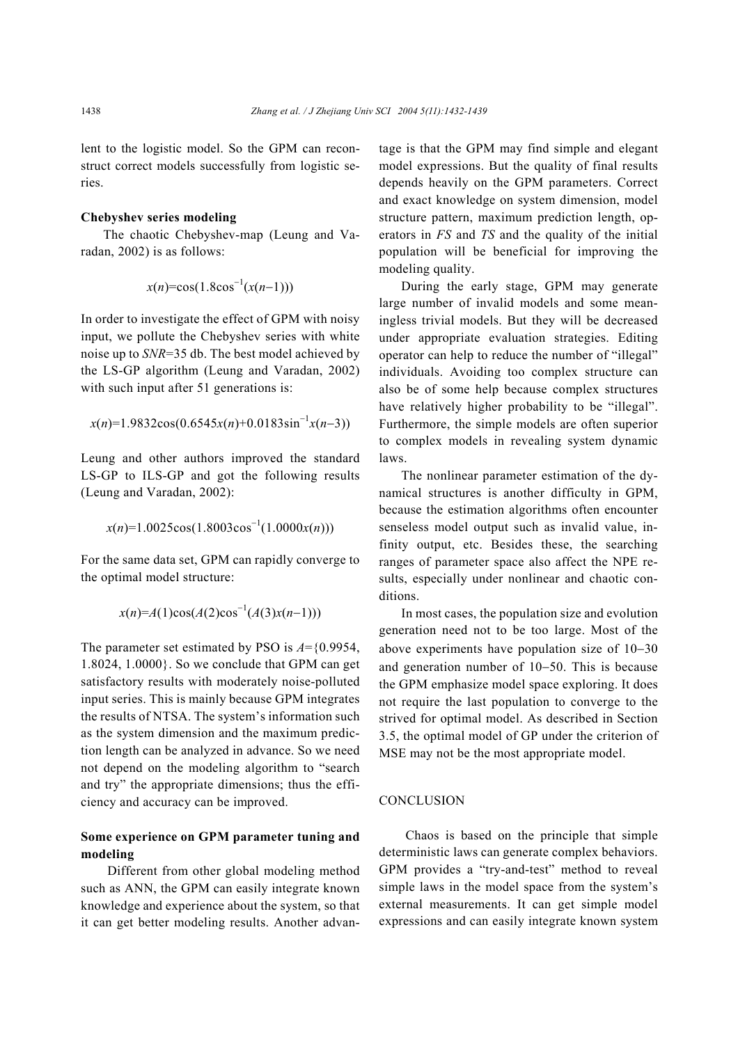lent to the logistic model. So the GPM can reconstruct correct models successfully from logistic series.

# **Chebyshev series modeling**

The chaotic Chebyshev-map (Leung and Varadan, 2002) is as follows:

$$
x(n)=\cos(1.8\cos^{-1}(x(n-1)))
$$

In order to investigate the effect of GPM with noisy input, we pollute the Chebyshev series with white noise up to *SNR*=35 db. The best model achieved by the LS-GP algorithm (Leung and Varadan, 2002) with such input after 51 generations is:

$$
x(n)=1.9832\cos(0.6545x(n)+0.0183\sin^{-1}x(n-3))
$$

Leung and other authors improved the standard LS-GP to ILS-GP and got the following results (Leung and Varadan, 2002):

$$
x(n)=1.0025\cos(1.8003\cos^{-1}(1.0000x(n)))
$$

For the same data set, GPM can rapidly converge to the optimal model structure:

$$
x(n)=A(1)\cos(A(2)\cos^{-1}(A(3)x(n-1)))
$$

The parameter set estimated by PSO is *A*={0.9954, 1.8024, 1.0000}. So we conclude that GPM can get satisfactory results with moderately noise-polluted input series. This is mainly because GPM integrates the results of NTSA. The system's information such as the system dimension and the maximum prediction length can be analyzed in advance. So we need not depend on the modeling algorithm to "search and try" the appropriate dimensions; thus the efficiency and accuracy can be improved.

# **Some experience on GPM parameter tuning and modeling**

Different from other global modeling method such as ANN, the GPM can easily integrate known knowledge and experience about the system, so that it can get better modeling results. Another advantage is that the GPM may find simple and elegant model expressions. But the quality of final results depends heavily on the GPM parameters. Correct and exact knowledge on system dimension, model structure pattern, maximum prediction length, operators in *FS* and *TS* and the quality of the initial population will be beneficial for improving the modeling quality.

During the early stage, GPM may generate large number of invalid models and some meaningless trivial models. But they will be decreased under appropriate evaluation strategies. Editing operator can help to reduce the number of "illegal" individuals. Avoiding too complex structure can also be of some help because complex structures have relatively higher probability to be "illegal". Furthermore, the simple models are often superior to complex models in revealing system dynamic laws.

The nonlinear parameter estimation of the dynamical structures is another difficulty in GPM, because the estimation algorithms often encounter senseless model output such as invalid value, infinity output, etc. Besides these, the searching ranges of parameter space also affect the NPE results, especially under nonlinear and chaotic conditions.

In most cases, the population size and evolution generation need not to be too large. Most of the above experiments have population size of 10−30 and generation number of 10−50. This is because the GPM emphasize model space exploring. It does not require the last population to converge to the strived for optimal model. As described in Section 3.5, the optimal model of GP under the criterion of MSE may not be the most appropriate model.

## **CONCLUSION**

Chaos is based on the principle that simple deterministic laws can generate complex behaviors. GPM provides a "try-and-test" method to reveal simple laws in the model space from the system's external measurements. It can get simple model expressions and can easily integrate known system